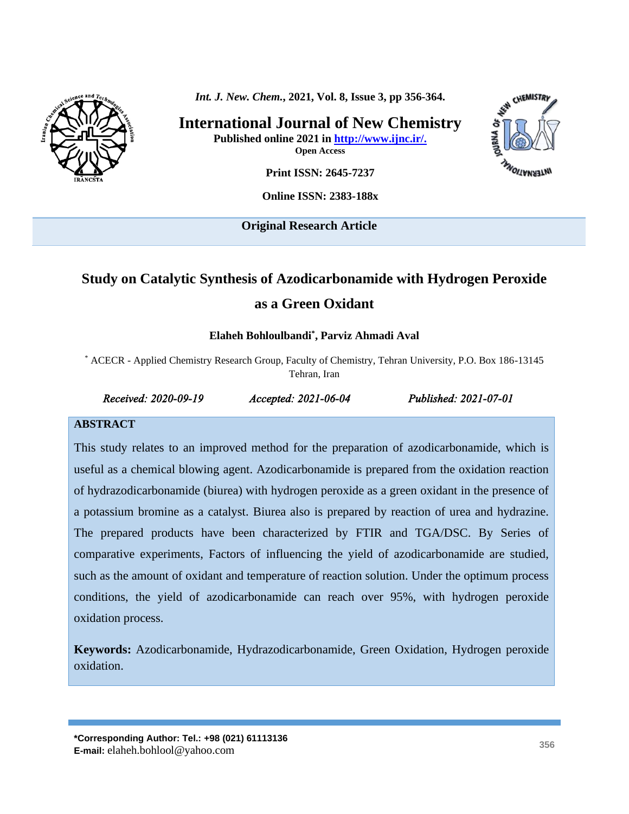

*Int. J. New. Chem.***, 2021, Vol. 8, Issue 3, pp 356-364.**

**International Journal of New Chemistry Published online 2021 in [http://www.ijnc.ir/.](http://www.ijnc.ir/) Open Access**



**Print ISSN: 2645-7237**

**Online ISSN: 2383-188x** 

**Original Research Article** 

# **Study on Catalytic Synthesis of Azodicarbonamide with Hydrogen Peroxide as a Green Oxidant**

#### **Elaheh Bohloulbandi\* , Parviz Ahmadi Aval**

\* ACECR - Applied Chemistry Research Group, Faculty of Chemistry, Tehran University, P.O. Box 186-13145 Tehran, Iran

#### *Received: 2020-09-19 Accepted: 2021-06-04 Published: 2021-07-01*

#### **ABSTRACT**

This study relates to an improved method for the preparation of azodicarbonamide, which is useful as a chemical blowing agent. Azodicarbonamide is prepared from the oxidation reaction of hydrazodicarbonamide (biurea) with hydrogen peroxide as a green oxidant in the presence of a potassium bromine as a catalyst. Biurea also is prepared by reaction of urea and hydrazine. The prepared products have been characterized by FTIR and TGA/DSC. By Series of comparative experiments, Factors of influencing the yield of azodicarbonamide are studied, such as the amount of oxidant and temperature of reaction solution. Under the optimum process conditions, the yield of azodicarbonamide can reach over 95%, with hydrogen peroxide oxidation process.

**Keywords:** Azodicarbonamide, Hydrazodicarbonamide, Green Oxidation, Hydrogen peroxide oxidation.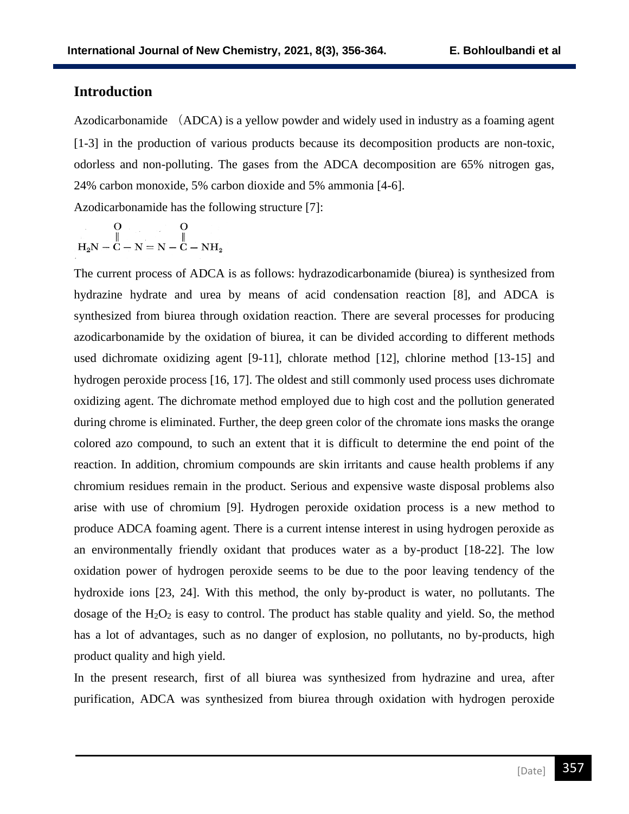## **Introduction**

Azodicarbonamide (ADCA) is a yellow powder and widely used in industry as a foaming agent [1-3] in the production of various products because its decomposition products are non-toxic, odorless and non-polluting. The gases from the ADCA decomposition are 65% nitrogen gas, 24% carbon monoxide, 5% carbon dioxide and 5% ammonia [4-6].

Azodicarbonamide has the following structure [7]:

$$
\begin{array}{c|c}\nO & O \\
\parallel & \parallel \\
H_2N-C-N=N-C-NH_2\n\end{array}
$$

The current process of ADCA is as follows: hydrazodicarbonamide (biurea) is synthesized from hydrazine hydrate and urea by means of acid condensation reaction [8], and ADCA is synthesized from biurea through oxidation reaction. There are several processes for producing azodicarbonamide by the oxidation of biurea, it can be divided according to different methods used dichromate oxidizing agent [9-11], chlorate method [12], chlorine method [13-15] and hydrogen peroxide process [16, 17]. The oldest and still commonly used process uses dichromate oxidizing agent. The dichromate method employed due to high cost and the pollution generated during chrome is eliminated. Further, the deep green color of the chromate ions masks the orange colored azo compound, to such an extent that it is difficult to determine the end point of the reaction. In addition, chromium compounds are skin irritants and cause health problems if any chromium residues remain in the product. Serious and expensive waste disposal problems also arise with use of chromium [9]. Hydrogen peroxide oxidation process is a new method to produce ADCA foaming agent. There is a current intense interest in using hydrogen peroxide as an environmentally friendly oxidant that produces water as a by-product [18-22]. The low oxidation power of hydrogen peroxide seems to be due to the poor leaving tendency of the hydroxide ions [23, 24]. With this method, the only by-product is water, no pollutants. The dosage of the  $H_2O_2$  is easy to control. The product has stable quality and yield. So, the method has a lot of advantages, such as no danger of explosion, no pollutants, no by-products, high product quality and high yield.

In the present research, first of all biurea was synthesized from hydrazine and urea, after purification, ADCA was synthesized from biurea through oxidation with hydrogen peroxide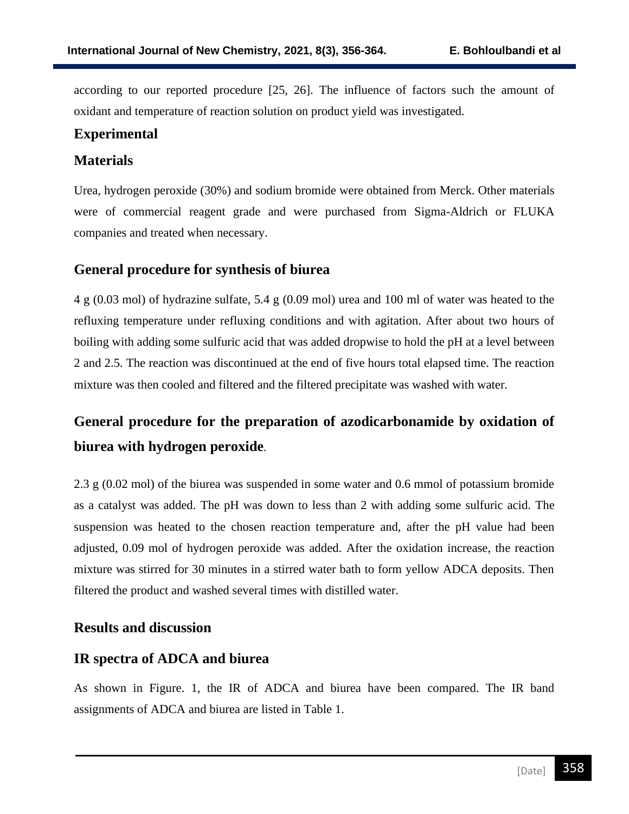according to our reported procedure [25, 26]. The influence of factors such the amount of oxidant and temperature of reaction solution on product yield was investigated.

## **Experimental**

## **Materials**

Urea, hydrogen peroxide (30%) and sodium bromide were obtained from Merck. Other materials were of commercial reagent grade and were purchased from Sigma-Aldrich or FLUKA companies and treated when necessary.

## **General procedure for synthesis of biurea**

4 g (0.03 mol) of hydrazine sulfate, 5.4 g (0.09 mol) urea and 100 ml of water was heated to the refluxing temperature under refluxing conditions and with agitation. After about two hours of boiling with adding some sulfuric acid that was added dropwise to hold the pH at a level between 2 and 2.5. The reaction was discontinued at the end of five hours total elapsed time. The reaction mixture was then cooled and filtered and the filtered precipitate was washed with water.

# **General procedure for the preparation of azodicarbonamide by oxidation of biurea with hydrogen peroxide***.*

2.3 g (0.02 mol) of the biurea was suspended in some water and 0.6 mmol of potassium bromide as a catalyst was added. The pH was down to less than 2 with adding some sulfuric acid. The suspension was heated to the chosen reaction temperature and, after the pH value had been adjusted, 0.09 mol of hydrogen peroxide was added. After the oxidation increase, the reaction mixture was stirred for 30 minutes in a stirred water bath to form yellow ADCA deposits. Then filtered the product and washed several times with distilled water.

### **Results and discussion**

## **IR spectra of ADCA and biurea**

As shown in Figure. 1, the IR of ADCA and biurea have been compared. The IR band assignments of ADCA and biurea are listed in Table 1.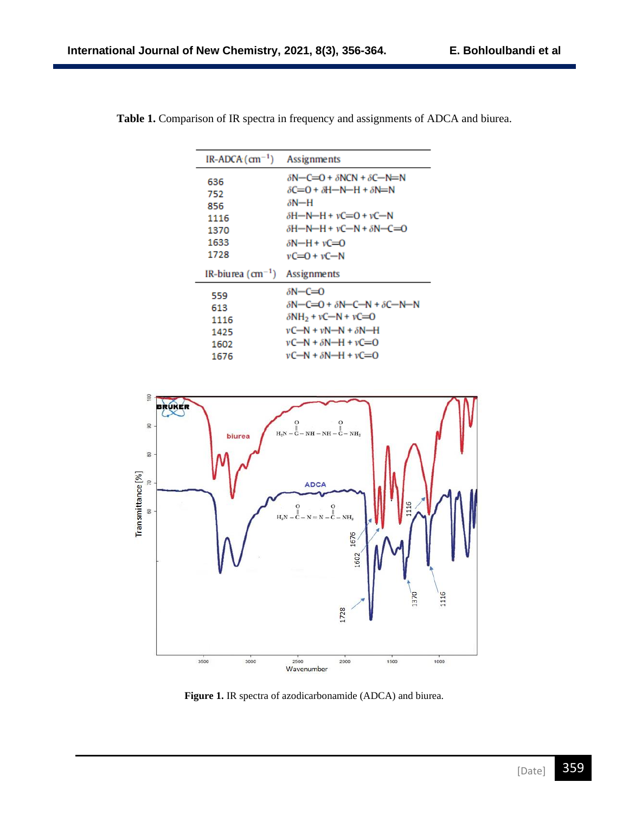| IR-ADCA $(\text{cm}^{-1})$                        | Assignments                                                                                                                                                                                                                                                              |  |
|---------------------------------------------------|--------------------------------------------------------------------------------------------------------------------------------------------------------------------------------------------------------------------------------------------------------------------------|--|
| 636<br>752<br>856<br>1116<br>1370<br>1633<br>1728 | $\delta N - C = 0 + \delta N CN + \delta C - N = N$<br>$\delta C = 0 + \delta H - N - H + \delta N = N$<br>$\delta N$ —H<br>$\delta H - N - H + \nu C = 0 + \nu C - N$<br>$\delta H - N - H + \nu C - N + \delta N - C = 0$<br>$\delta N$ –H + vC=O<br>$vC = 0 + vC - N$ |  |
| IR-biurea $(cm-1)$                                | Assignments                                                                                                                                                                                                                                                              |  |
| 559<br>613<br>1116<br>1425<br>1602<br>1676        | $\delta N-C=0$<br>$\delta N - C = 0 + \delta N - C - N + \delta C - N - N$<br>$\delta$ NH <sub>2</sub> + vC-N + vC=O<br>$vC-N + vN-N + \delta N-H$<br>$vC-N + \delta N-H + vC = 0$                                                                                       |  |
|                                                   | $vC-N + \delta N-H + vC = 0$                                                                                                                                                                                                                                             |  |

**Table 1.** Comparison of IR spectra in frequency and assignments of ADCA and biurea.



**Figure 1.** IR spectra of azodicarbonamide (ADCA) and biurea.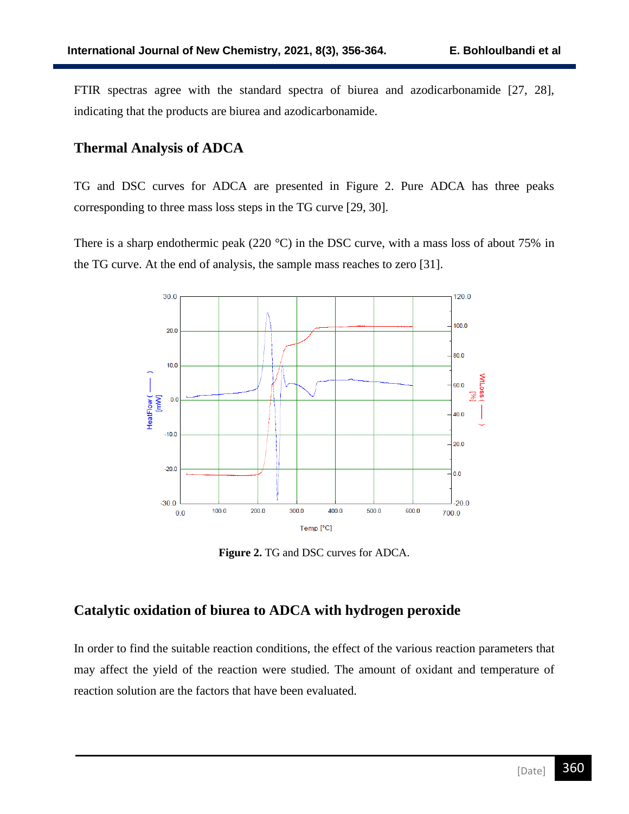FTIR spectras agree with the standard spectra of biurea and azodicarbonamide [27, 28], indicating that the products are biurea and azodicarbonamide.

## **Thermal Analysis of ADCA**

TG and DSC curves for ADCA are presented in Figure 2. Pure ADCA has three peaks corresponding to three mass loss steps in the TG curve [29, 30].

There is a sharp endothermic peak (220 °C) in the DSC curve, with a mass loss of about 75% in the TG curve. At the end of analysis, the sample mass reaches to zero [31].



**Figure 2.** TG and DSC curves for ADCA.

## **Catalytic oxidation of biurea to ADCA with hydrogen peroxide**

In order to find the suitable reaction conditions, the effect of the various reaction parameters that may affect the yield of the reaction were studied. The amount of oxidant and temperature of reaction solution are the factors that have been evaluated.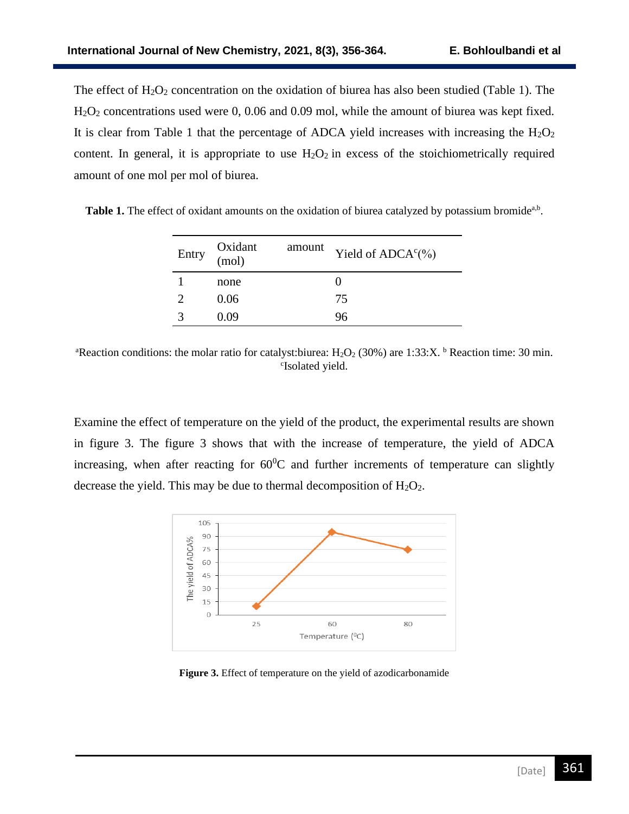The effect of  $H_2O_2$  concentration on the oxidation of biurea has also been studied (Table 1). The H<sub>2</sub>O<sub>2</sub> concentrations used were 0, 0.06 and 0.09 mol, while the amount of biurea was kept fixed. It is clear from Table 1 that the percentage of ADCA yield increases with increasing the  $H_2O_2$ content. In general, it is appropriate to use  $H_2O_2$  in excess of the stoichiometrically required amount of one mol per mol of biurea.

Table 1. The effect of oxidant amounts on the oxidation of biurea catalyzed by potassium bromide<sup>a,b</sup>.

| Entry | Oxidant<br>(mol) | amount | Yield of ADCA <sup>c</sup> (%) |
|-------|------------------|--------|--------------------------------|
|       | none             |        |                                |
|       | 0.06             |        | 75                             |
| 2     | O O9             |        | 96                             |

<sup>a</sup>Reaction conditions: the molar ratio for catalyst:biurea: H<sub>2</sub>O<sub>2</sub> (30%) are 1:33:X. <sup>b</sup> Reaction time: 30 min. c Isolated yield.

Examine the effect of temperature on the yield of the product, the experimental results are shown in figure 3. The figure 3 shows that with the increase of temperature, the yield of ADCA increasing, when after reacting for  $60^{\circ}$ C and further increments of temperature can slightly decrease the yield. This may be due to thermal decomposition of  $H_2O_2$ .



**Figure 3.** Effect of temperature on the yield of azodicarbonamide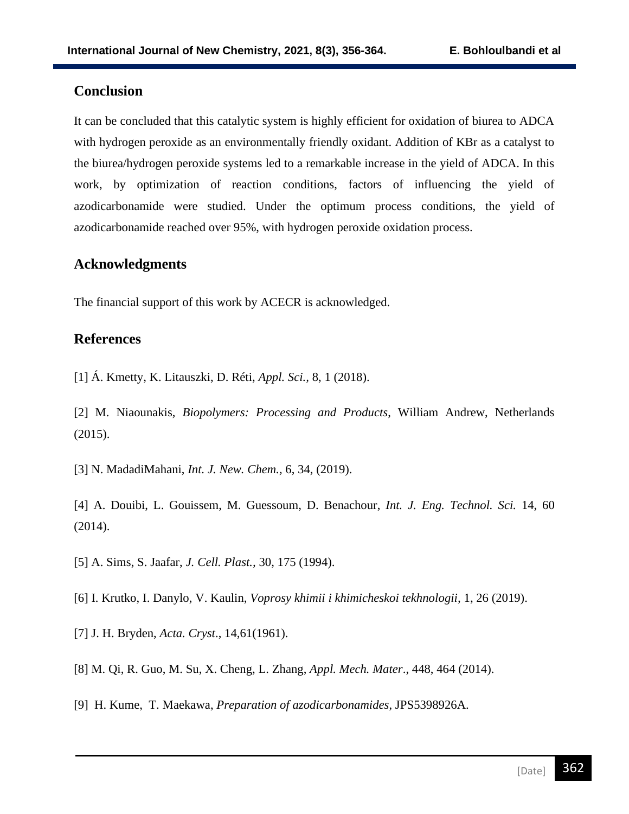## **Conclusion**

It can be concluded that this catalytic system is highly efficient for oxidation of biurea to ADCA with hydrogen peroxide as an environmentally friendly oxidant. Addition of KBr as a catalyst to the biurea/hydrogen peroxide systems led to a remarkable increase in the yield of ADCA. In this work, by optimization of reaction conditions, factors of influencing the yield of azodicarbonamide were studied. Under the optimum process conditions, the yield of azodicarbonamide reached over 95%, with hydrogen peroxide oxidation process.

## **Acknowledgments**

The financial support of this work by ACECR is acknowledged.

## **References**

[1] Á. Kmetty, K. Litauszki, D. Réti, *Appl. Sci.,* 8, 1 (2018).

[2] M. Niaounakis, *Biopolymers: Processing and Products*, William Andrew, Netherlands (2015).

[3] N. MadadiMahani, *Int. J. New. Chem.,* 6, 34, (2019).

[4] A. Douibi, L. Gouissem, M. Guessoum, D. Benachour, *Int. J. Eng. Technol. Sci.* 14, 60 (2014).

[5] A. Sims, S. Jaafar, *J. Cell. Plast.,* 30, 175 (1994).

[6] I. Krutko, I. Danylo, V. Kaulin, *Voprosy khimii i khimicheskoi tekhnologii,* 1, 26 (2019).

- [7] J. H. Bryden, *Acta. Cryst*., 14,61(1961).
- [8] M. Qi, R. Guo, M. Su, X. Cheng, L. Zhang, *Appl. Mech. Mater*., 448, 464 (2014).
- [9] [H. Kume, T. Maekawa,](https://patents.google.com/patent/JPS5398926A/en) *Preparation of azodicarbonamides*, JPS5398926A.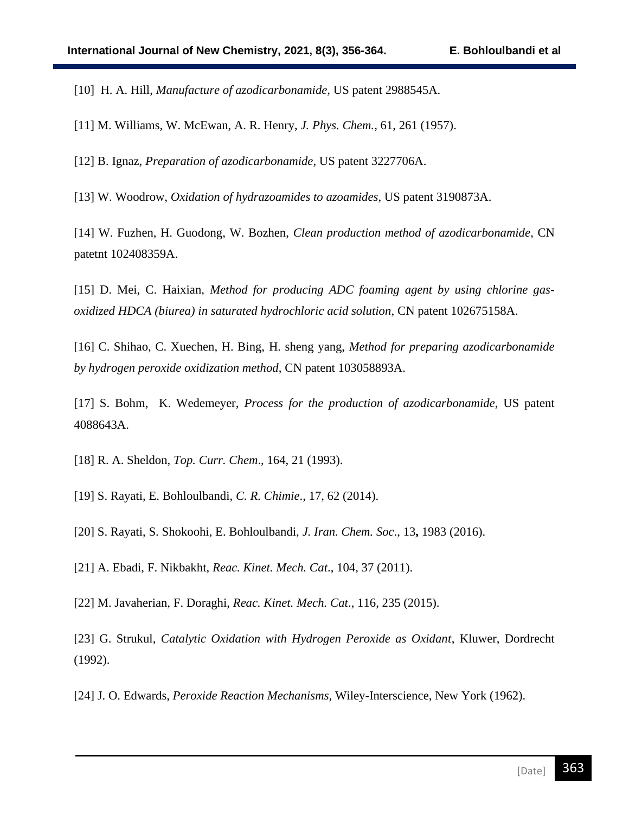[10] [H. A.](https://patents.google.com/patent/US2988545A/en) Hill, *Manufacture of azodicarbonamide,* US patent 2988545A.

[11] M. Williams, W. McEwan, A. R. Henry, *J. Phys. Chem.,* 61, 261 (1957).

[12] B. [Ignaz,](https://patents.google.com/patent/US3227706A/en) *Preparation of azodicarbonamide*, US patent 3227706A.

[13] [W. Woodrow,](https://patents.google.com/patent/US3190873A/en) *Oxidation of hydrazoamides to azoamides*, US patent 3190873A.

[14] W. Fuzhen, H. Guodong, W. Bozhen, *Clean production method of azodicarbonamide*, CN patetnt 102408359A.

[15] D. Mei, C. Haixian, *Method for producing ADC foaming agent by using chlorine gasoxidized HDCA (biurea) in saturated hydrochloric acid solution*, CN patent 102675158A.

[16] C. Shihao, C. Xuechen, H. Bing, H. sheng yang, *Method for preparing azodicarbonamide by hydrogen peroxide oxidization method*, CN patent 103058893A.

[17] S. [Bohm, K. Wedemeyer,](https://patents.google.com/patent/US4088643A/en) *Process for the production of azodicarbonamide*, US patent 4088643A.

[18] R. A. Sheldon, *Top. Curr. Chem*., 164, 21 (1993).

[19] S. Rayati, E. Bohloulbandi, *C. R. Chimie*., 17, 62 (2014).

[20] S. Rayati, S. Shokoohi, E. Bohloulbandi, *J. Iran. Chem. Soc*., 13**,** 1983 (2016).

[21] A. Ebadi, F. Nikbakht, *Reac. Kinet. Mech. Cat*., 104, 37 (2011).

[22] M. Javaherian, F. Doraghi, *Reac. Kinet. Mech. Cat*., 116, 235 (2015).

[23] G. Strukul, *Catalytic Oxidation with Hydrogen Peroxide as Oxidant*, Kluwer, Dordrecht (1992).

[24] J. O. Edwards, *Peroxide Reaction Mechanisms*, Wiley-Interscience, New York (1962).